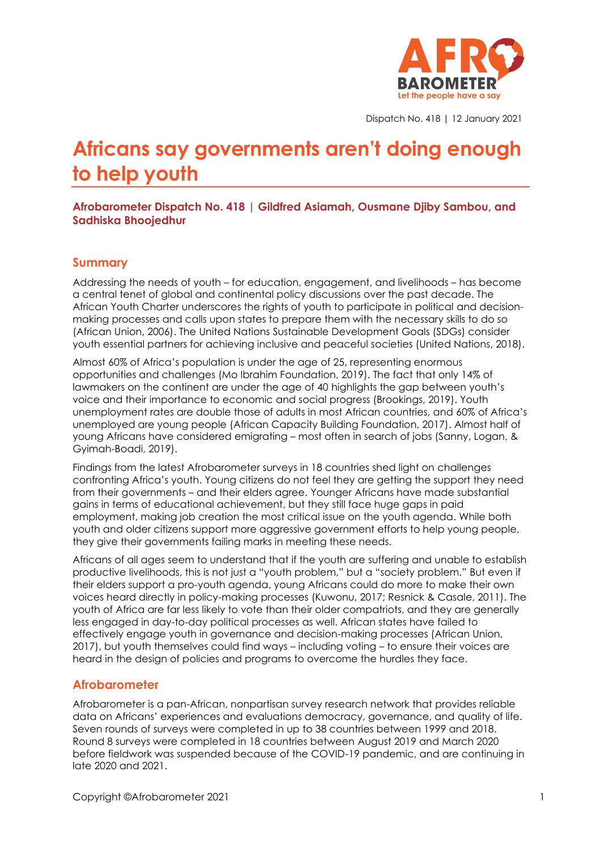

Dispatch No. 418 | 12 January 2021

# **Africans say governments aren't doing enough to help youth**

**Afrobarometer Dispatch No. 418 | Gildfred Asiamah, Ousmane Djiby Sambou, and Sadhiska Bhoojedhur**

### **Summary**

Addressing the needs of youth – for education, engagement, and livelihoods – has become a central tenet of global and continental policy discussions over the past decade. The African Youth Charter underscores the rights of youth to participate in political and decisionmaking processes and calls upon states to prepare them with the necessary skills to do so (African Union, 2006). The United Nations Sustainable Development Goals (SDGs) consider youth essential partners for achieving inclusive and peaceful societies (United Nations, 2018).

Almost 60% of Africa's population is under the age of 25, representing enormous opportunities and challenges (Mo Ibrahim Foundation, 2019). The fact that only 14% of lawmakers on the continent are under the age of 40 highlights the gap between youth's voice and their importance to economic and social progress (Brookings, 2019). Youth unemployment rates are double those of adults in most African countries, and 60% of Africa's unemployed are young people (African Capacity Building Foundation, 2017). Almost half of young Africans have considered emigrating – most often in search of jobs (Sanny, Logan, & Gyimah-Boadi, 2019).

Findings from the latest Afrobarometer surveys in 18 countries shed light on challenges confronting Africa's youth. Young citizens do not feel they are getting the support they need from their governments – and their elders agree. Younger Africans have made substantial gains in terms of educational achievement, but they still face huge gaps in paid employment, making job creation the most critical issue on the youth agenda. While both youth and older citizens support more aggressive government efforts to help young people, they give their governments failing marks in meeting these needs.

Africans of all ages seem to understand that if the youth are suffering and unable to establish productive livelihoods, this is not just a "youth problem," but a "society problem." But even if their elders support a pro-youth agenda, young Africans could do more to make their own voices heard directly in policy-making processes (Kuwonu, 2017; Resnick & Casale, 2011). The youth of Africa are far less likely to vote than their older compatriots, and they are generally less engaged in day-to-day political processes as well. African states have failed to effectively engage youth in governance and decision-making processes (African Union, 2017), but youth themselves could find ways – including voting – to ensure their voices are heard in the design of policies and programs to overcome the hurdles they face.

### **Afrobarometer**

Afrobarometer is a pan-African, nonpartisan survey research network that provides reliable data on Africans' experiences and evaluations democracy, governance, and quality of life. Seven rounds of surveys were completed in up to 38 countries between 1999 and 2018. Round 8 surveys were completed in 18 countries between August 2019 and March 2020 before fieldwork was suspended because of the COVID-19 pandemic, and are continuing in late 2020 and 2021.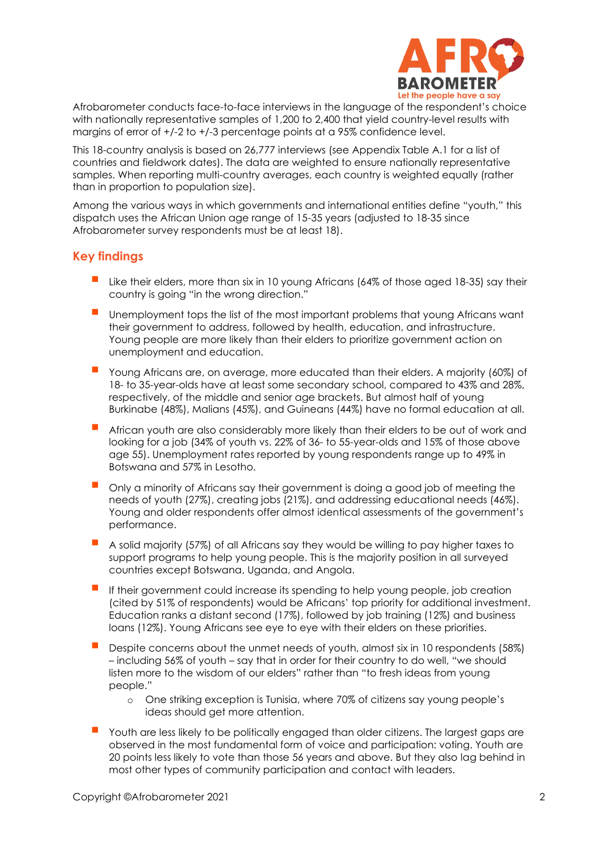

Afrobarometer conducts face-to-face interviews in the language of the respondent's choice with nationally representative samples of 1,200 to 2,400 that yield country-level results with margins of error of  $+/-2$  to  $+/-3$  percentage points at a 95% confidence level.

This 18-country analysis is based on 26,777 interviews (see Appendix Table A.1 for a list of countries and fieldwork dates). The data are weighted to ensure nationally representative samples. When reporting multi-country averages, each country is weighted equally (rather than in proportion to population size).

Among the various ways in which governments and international entities define "youth," this dispatch uses the African Union age range of 15-35 years (adjusted to 18-35 since Afrobarometer survey respondents must be at least 18).

# **Key findings**

- Like their elders, more than six in 10 young Africans (64% of those aged 18-35) say their country is going "in the wrong direction."
- Unemployment tops the list of the most important problems that young Africans want their government to address, followed by health, education, and infrastructure. Young people are more likely than their elders to prioritize government action on unemployment and education.
- Young Africans are, on average, more educated than their elders. A majority (60%) of 18- to 35-year-olds have at least some secondary school, compared to 43% and 28%, respectively, of the middle and senior age brackets. But almost half of young Burkinabe (48%), Malians (45%), and Guineans (44%) have no formal education at all.
- African youth are also considerably more likely than their elders to be out of work and looking for a job (34% of youth vs. 22% of 36- to 55-year-olds and 15% of those above age 55). Unemployment rates reported by young respondents range up to 49% in Botswana and 57% in Lesotho.
- Only a minority of Africans say their government is doing a good job of meeting the needs of youth (27%), creating jobs (21%), and addressing educational needs (46%). Young and older respondents offer almost identical assessments of the government's performance.
- A solid majority (57%) of all Africans say they would be willing to pay higher taxes to support programs to help young people. This is the majority position in all surveyed countries except Botswana, Uganda, and Angola.
- If their government could increase its spending to help young people, job creation (cited by 51% of respondents) would be Africans' top priority for additional investment. Education ranks a distant second (17%), followed by job training (12%) and business loans (12%). Young Africans see eye to eye with their elders on these priorities.
- Despite concerns about the unmet needs of youth, almost six in 10 respondents (58%) – including 56% of youth – say that in order for their country to do well, "we should listen more to the wisdom of our elders" rather than "to fresh ideas from young people."
	- o One striking exception is Tunisia, where 70% of citizens say young people's ideas should get more attention.
- Youth are less likely to be politically engaged than older citizens. The largest gaps are observed in the most fundamental form of voice and participation: voting. Youth are 20 points less likely to vote than those 56 years and above. But they also lag behind in most other types of community participation and contact with leaders.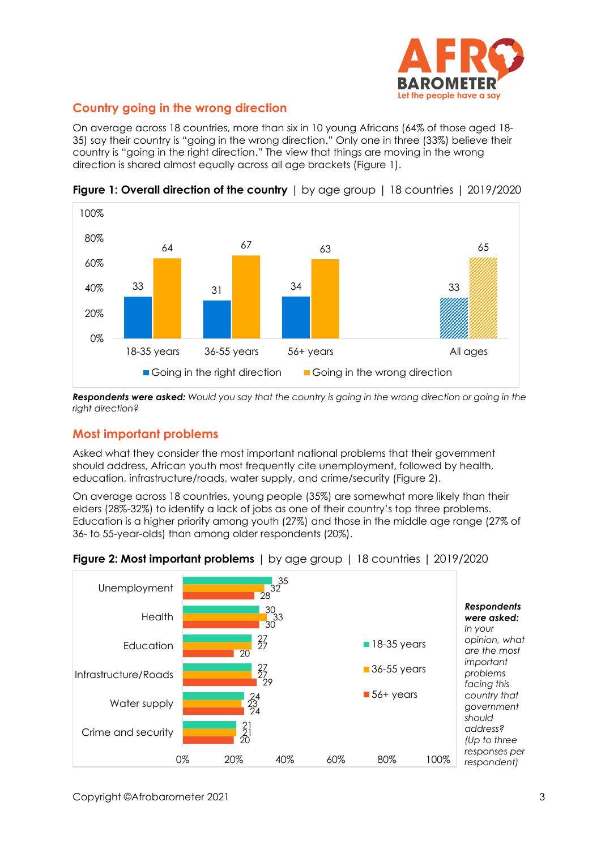

# **Country going in the wrong direction**

On average across 18 countries, more than six in 10 young Africans (64% of those aged 18- 35) say their country is "going in the wrong direction." Only one in three (33%) believe their country is "going in the right direction." The view that things are moving in the wrong direction is shared almost equally across all age brackets (Figure 1).



**Figure 1: Overall direction of the country** I by gge group 1 18 countries 1 2019/2020

*Respondents were asked: Would you say that the country is going in the wrong direction or going in the right direction?* 

# **Most important problems**

Asked what they consider the most important national problems that their government should address, African youth most frequently cite unemployment, followed by health, education, infrastructure/roads, water supply, and crime/security (Figure 2).

On average across 18 countries, young people (35%) are somewhat more likely than their elders (28%-32%) to identify a lack of jobs as one of their country's top three problems. Education is a higher priority among youth (27%) and those in the middle age range (27% of 36- to 55-year-olds) than among older respondents (20%).



### **Figure 2: Most important problems** | by age group | 18 countries | 2019/2020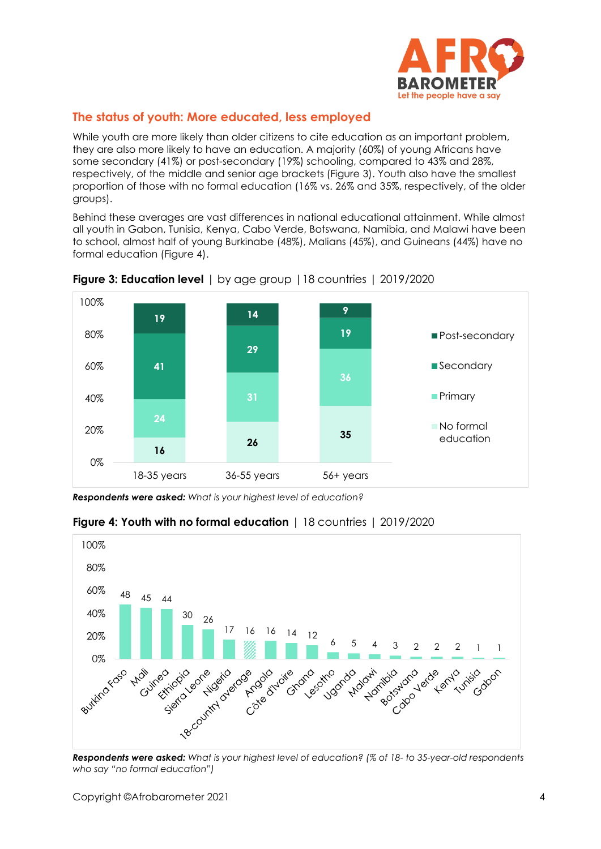

# **The status of youth: More educated, less employed**

While youth are more likely than older citizens to cite education as an important problem, they are also more likely to have an education. A majority (60%) of young Africans have some secondary (41%) or post-secondary (19%) schooling, compared to 43% and 28%, respectively, of the middle and senior age brackets (Figure 3). Youth also have the smallest proportion of those with no formal education (16% vs. 26% and 35%, respectively, of the older groups).

Behind these averages are vast differences in national educational attainment. While almost all youth in Gabon, Tunisia, Kenya, Cabo Verde, Botswana, Namibia, and Malawi have been to school, almost half of young Burkinabe (48%), Malians (45%), and Guineans (44%) have no formal education (Figure 4).



**Figure 3: Education level** | by age group |18 countries | 2019/2020

*Respondents were asked: What is your highest level of education?*



# **Figure 4: Youth with no formal education** | 18 countries | 2019/2020

*Respondents were asked: What is your highest level of education? (% of 18- to 35-year-old respondents who say "no formal education")*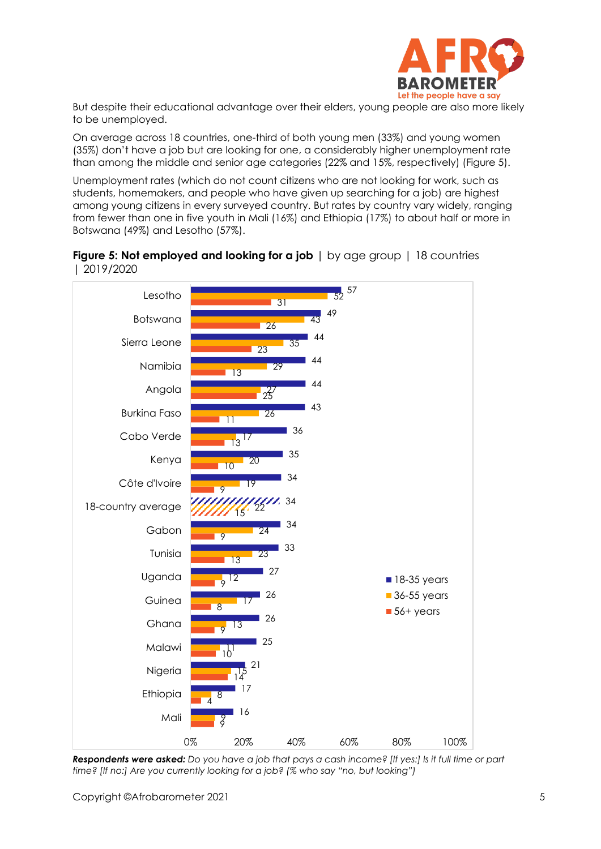

But despite their educational advantage over their elders, young people are also more likely to be unemployed.

On average across 18 countries, one-third of both young men (33%) and young women (35%) don't have a job but are looking for one, a considerably higher unemployment rate than among the middle and senior age categories (22% and 15%, respectively) (Figure 5).

Unemployment rates (which do not count citizens who are not looking for work, such as students, homemakers, and people who have given up searching for a job) are highest among young citizens in every surveyed country. But rates by country vary widely, ranging from fewer than one in five youth in Mali (16%) and Ethiopia (17%) to about half or more in Botswana (49%) and Lesotho (57%).





*Respondents were asked: Do you have a job that pays a cash income? [If yes:] Is it full time or part time? [If no:] Are you currently looking for a job? (% who say "no, but looking")*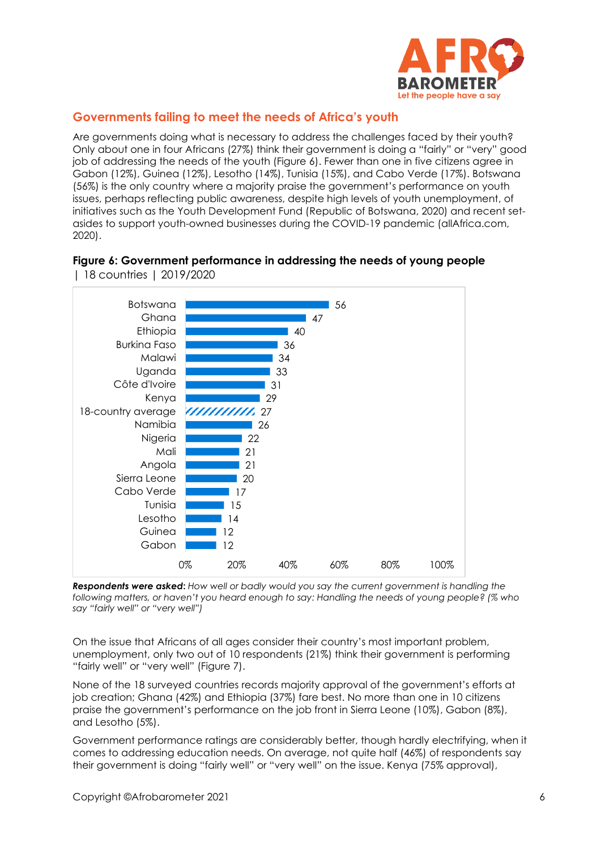

### **Governments failing to meet the needs of Africa's youth**

Are governments doing what is necessary to address the challenges faced by their youth? Only about one in four Africans (27%) think their government is doing a "fairly" or "very" good job of addressing the needs of the youth (Figure 6). Fewer than one in five citizens agree in Gabon (12%), Guinea (12%), Lesotho (14%), Tunisia (15%), and Cabo Verde (17%). Botswana (56%) is the only country where a majority praise the government's performance on youth issues, perhaps reflecting public awareness, despite high levels of youth unemployment, of initiatives such as the Youth Development Fund (Republic of Botswana, 2020) and recent setasides to support youth-owned businesses during the COVID-19 pandemic (allAfrica.com, 2020).

#### **Figure 6: Government performance in addressing the needs of young people**  | 18 countries | 2019/2020



*Respondents were asked***:** *How well or badly would you say the current government is handling the following matters, or haven't you heard enough to say: Handling the needs of young people? (% who say "fairly well" or "very well")* 

On the issue that Africans of all ages consider their country's most important problem, unemployment, only two out of 10 respondents (21%) think their government is performing "fairly well" or "very well" (Figure 7).

None of the 18 surveyed countries records majority approval of the government's efforts at job creation; Ghana (42%) and Ethiopia (37%) fare best. No more than one in 10 citizens praise the government's performance on the job front in Sierra Leone (10%), Gabon (8%), and Lesotho (5%).

Government performance ratings are considerably better, though hardly electrifying, when it comes to addressing education needs. On average, not quite half (46%) of respondents say their government is doing "fairly well" or "very well" on the issue. Kenya (75% approval),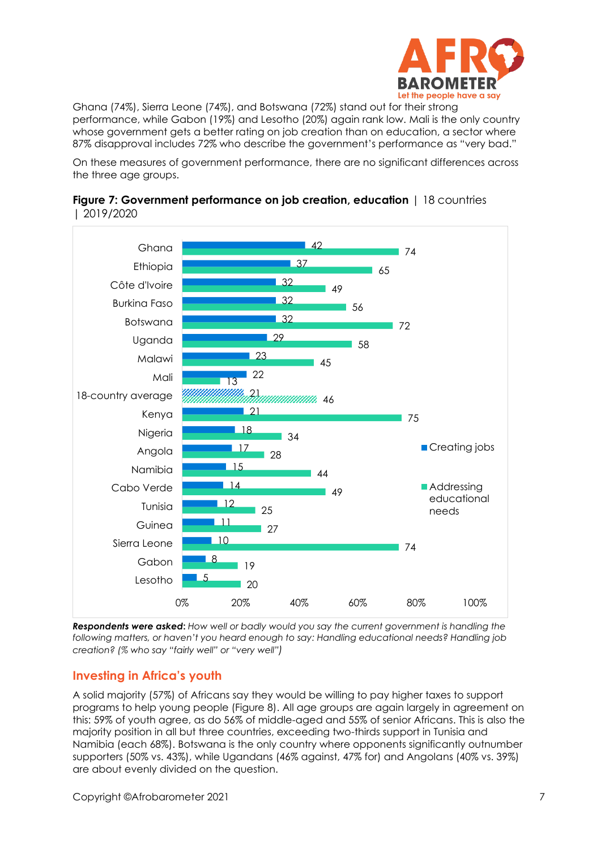

Ghana (74%), Sierra Leone (74%), and Botswana (72%) stand out for their strong performance, while Gabon (19%) and Lesotho (20%) again rank low. Mali is the only country whose government gets a better rating on job creation than on education, a sector where 87% disapproval includes 72% who describe the government's performance as "very bad."

On these measures of government performance, there are no significant differences across the three age groups.





*Respondents were asked***:** *How well or badly would you say the current government is handling the following matters, or haven't you heard enough to say: Handling educational needs? Handling job creation? (% who say "fairly well" or "very well")*

# **Investing in Africa's youth**

A solid majority (57%) of Africans say they would be willing to pay higher taxes to support programs to help young people (Figure 8). All age groups are again largely in agreement on this: 59% of youth agree, as do 56% of middle-aged and 55% of senior Africans. This is also the majority position in all but three countries, exceeding two-thirds support in Tunisia and Namibia (each 68%). Botswana is the only country where opponents significantly outnumber supporters (50% vs. 43%), while Ugandans (46% against, 47% for) and Angolans (40% vs. 39%) are about evenly divided on the question.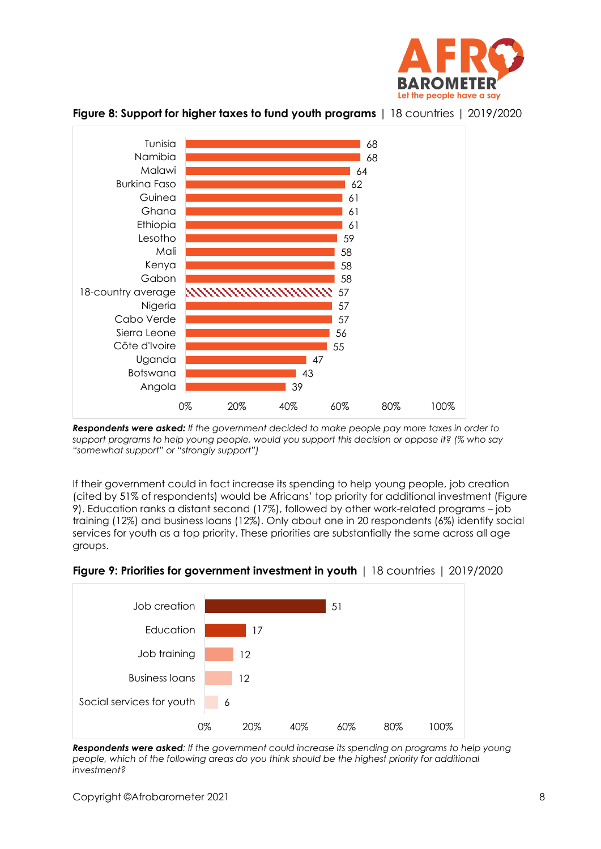



**Figure 8: Support for higher taxes to fund youth programs** | 18 countries | 2019/2020

*Respondents were asked: If the government decided to make people pay more taxes in order to support programs to help young people, would you support this decision or oppose it? (% who say "somewhat support" or "strongly support")*

If their government could in fact increase its spending to help young people, job creation (cited by 51% of respondents) would be Africans' top priority for additional investment (Figure 9). Education ranks a distant second (17%), followed by other work-related programs – job training (12%) and business loans (12%). Only about one in 20 respondents (6%) identify social services for youth as a top priority. These priorities are substantially the same across all age groups.



### **Figure 9: Priorities for government investment in youth** | 18 countries | 2019/2020

*Respondents were asked: If the government could increase its spending on programs to help young people, which of the following areas do you think should be the highest priority for additional investment?*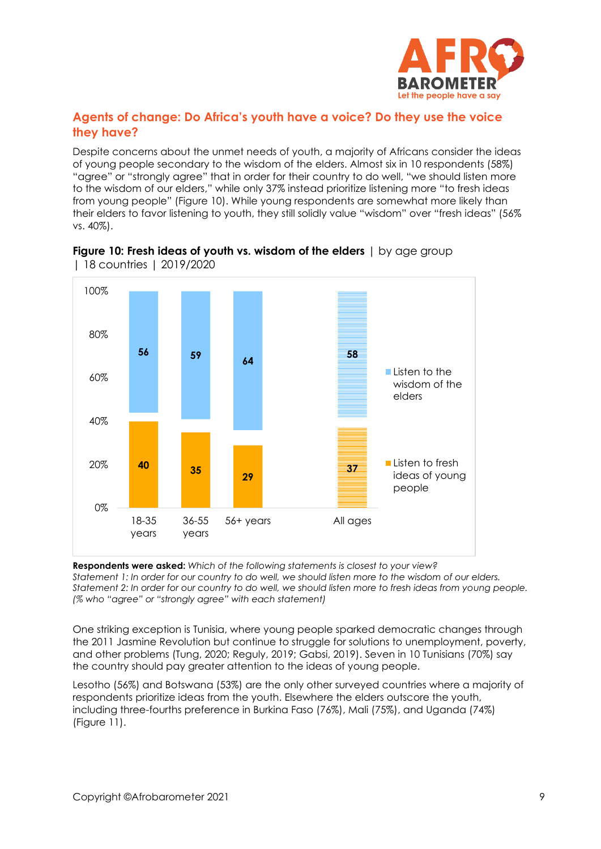

# **Agents of change: Do Africa's youth have a voice? Do they use the voice they have?**

Despite concerns about the unmet needs of youth, a majority of Africans consider the ideas of young people secondary to the wisdom of the elders. Almost six in 10 respondents (58%) "agree" or "strongly agree" that in order for their country to do well, "we should listen more to the wisdom of our elders," while only 37% instead prioritize listening more "to fresh ideas from young people" (Figure 10). While young respondents are somewhat more likely than their elders to favor listening to youth, they still solidly value "wisdom" over "fresh ideas" (56% vs. 40%).





**Respondents were asked:** *Which of the following statements is closest to your view?* 

*Statement 1: In order for our country to do well, we should listen more to the wisdom of our elders. Statement 2: In order for our country to do well, we should listen more to fresh ideas from young people. (% who "agree" or "strongly agree" with each statement)* 

One striking exception is Tunisia, where young people sparked democratic changes through the 2011 Jasmine Revolution but continue to struggle for solutions to unemployment, poverty, and other problems (Tung, 2020; Reguly, 2019; Gabsi, 2019). Seven in 10 Tunisians (70%) say the country should pay greater attention to the ideas of young people.

Lesotho (56%) and Botswana (53%) are the only other surveyed countries where a majority of respondents prioritize ideas from the youth. Elsewhere the elders outscore the youth, including three-fourths preference in Burkina Faso (76%), Mali (75%), and Uganda (74%) (Figure 11).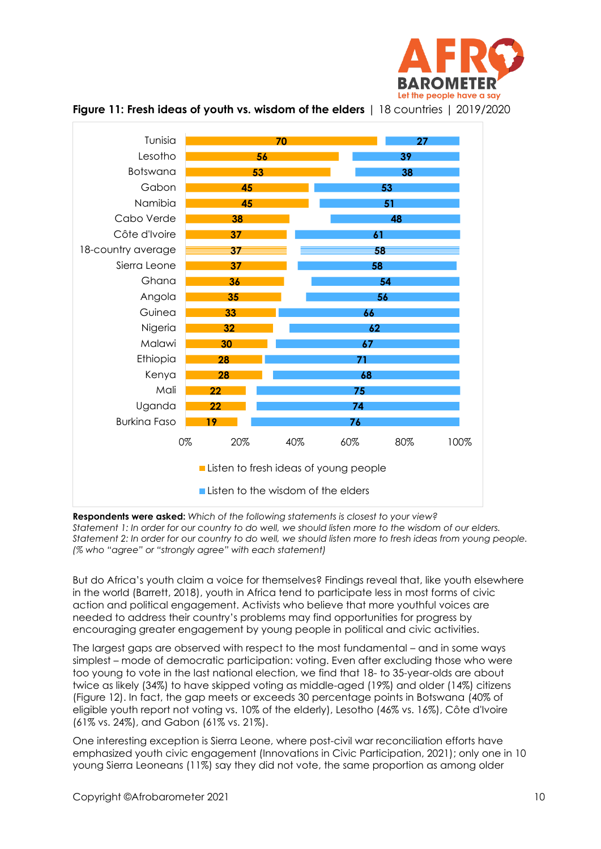





**Respondents were asked:** *Which of the following statements is closest to your view? Statement 1: In order for our country to do well, we should listen more to the wisdom of our elders. Statement 2: In order for our country to do well, we should listen more to fresh ideas from young people. (% who "agree" or "strongly agree" with each statement)* 

But do Africa's youth claim a voice for themselves? Findings reveal that, like youth elsewhere in the world (Barrett, 2018), youth in Africa tend to participate less in most forms of civic action and political engagement. Activists who believe that more youthful voices are needed to address their country's problems may find opportunities for progress by encouraging greater engagement by young people in political and civic activities.

The largest gaps are observed with respect to the most fundamental – and in some ways simplest – mode of democratic participation: voting. Even after excluding those who were too young to vote in the last national election, we find that 18- to 35-year-olds are about twice as likely (34%) to have skipped voting as middle-aged (19%) and older (14%) citizens (Figure 12). In fact, the gap meets or exceeds 30 percentage points in Botswana (40% of eligible youth report not voting vs. 10% of the elderly), Lesotho (46% vs. 16%), Côte d'Ivoire (61% vs. 24%), and Gabon (61% vs. 21%).

One interesting exception is Sierra Leone, where post-civil war reconciliation efforts have emphasized youth civic engagement (Innovations in Civic Participation, 2021); only one in 10 young Sierra Leoneans (11%) say they did not vote, the same proportion as among older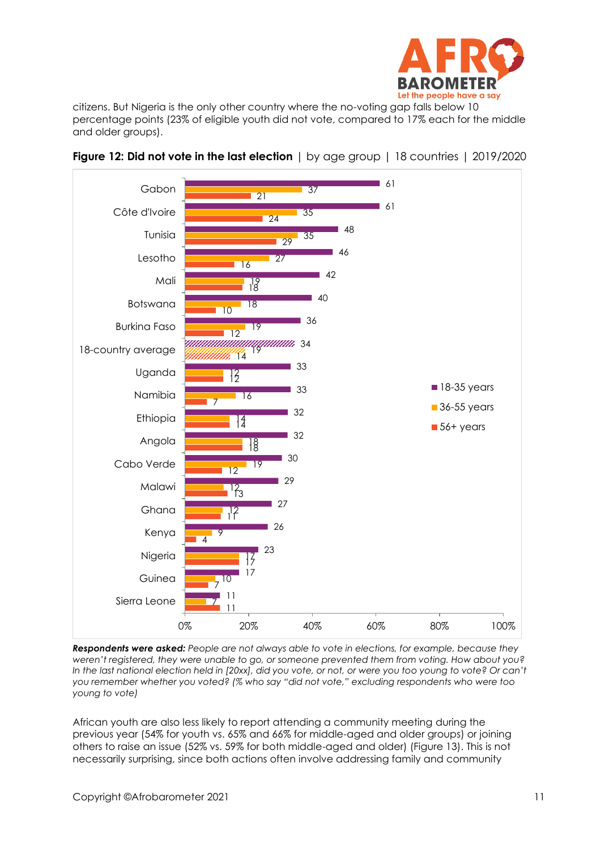

citizens. But Nigeria is the only other country where the no-voting gap falls below 10 percentage points (23% of eligible youth did not vote, compared to 17% each for the middle and older groups).





*Respondents were asked: People are not always able to vote in elections, for example, because they weren't registered, they were unable to go, or someone prevented them from voting. How about you? In the last national election held in [20xx], did you vote, or not, or were you too young to vote? Or can't you remember whether you voted? (% who say "did not vote," excluding respondents who were too young to vote)*

African youth are also less likely to report attending a community meeting during the previous year (54% for youth vs. 65% and 66% for middle-aged and older groups) or joining others to raise an issue (52% vs. 59% for both middle-aged and older) (Figure 13). This is not necessarily surprising, since both actions often involve addressing family and community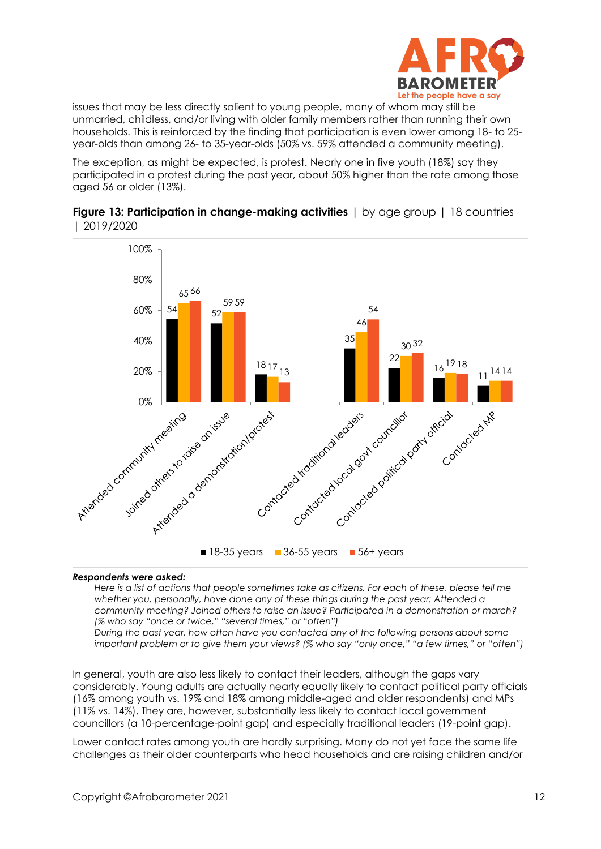

issues that may be less directly salient to young people, many of whom may still be unmarried, childless, and/or living with older family members rather than running their own households. This is reinforced by the finding that participation is even lower among 18- to 25 year-olds than among 26- to 35-year-olds (50% vs. 59% attended a community meeting).

The exception, as might be expected, is protest. Nearly one in five youth (18%) say they participated in a protest during the past year, about 50% higher than the rate among those aged 56 or older (13%).



#### **Figure 13: Participation in change-making activities** | by age group | 18 countries | 2019/2020

#### *Respondents were asked:*

*Here is a list of actions that people sometimes take as citizens. For each of these, please tell me whether you, personally, have done any of these things during the past year: Attended a community meeting? Joined others to raise an issue? Participated in a demonstration or march? (% who say "once or twice," "several times," or "often")*

*During the past year, how often have you contacted any of the following persons about some important problem or to give them your views? (% who say "only once," "a few times," or "often")* 

In general, youth are also less likely to contact their leaders, although the gaps vary considerably. Young adults are actually nearly equally likely to contact political party officials (16% among youth vs. 19% and 18% among middle-aged and older respondents) and MPs (11% vs. 14%). They are, however, substantially less likely to contact local government councillors (a 10-percentage-point gap) and especially traditional leaders (19-point gap).

Lower contact rates among youth are hardly surprising. Many do not yet face the same life challenges as their older counterparts who head households and are raising children and/or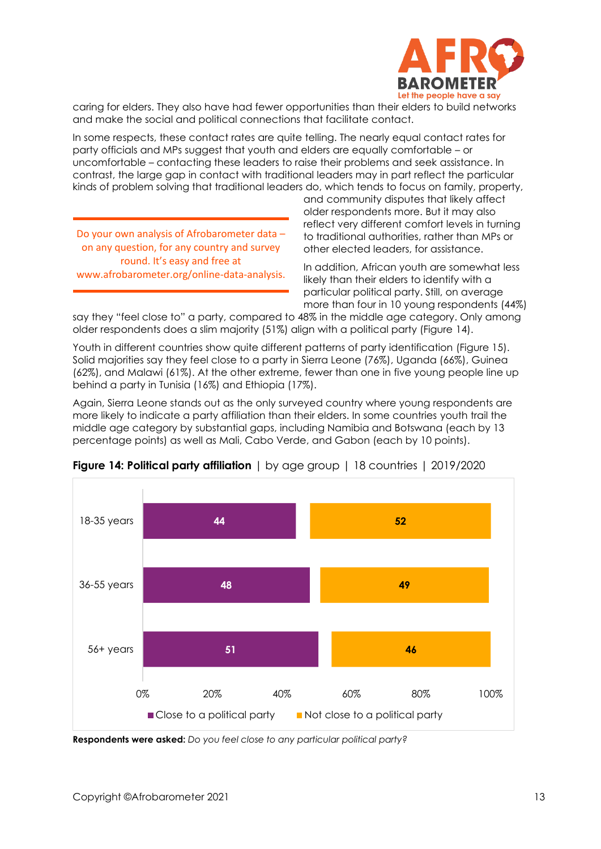

caring for elders. They also have had fewer opportunities than their elders to build networks and make the social and political connections that facilitate contact.

In some respects, these contact rates are quite telling. The nearly equal contact rates for party officials and MPs suggest that youth and elders are equally comfortable – or uncomfortable – contacting these leaders to raise their problems and seek assistance. In contrast, the large gap in contact with traditional leaders may in part reflect the particular kinds of problem solving that traditional leaders do, which tends to focus on family, property,

Do your own analysis of Afrobarometer data – on any question, for any country and survey round. It's easy and free at www.afrobarometer.org/online-data-analysis.

and community disputes that likely affect older respondents more. But it may also reflect very different comfort levels in turning to traditional authorities, rather than MPs or other elected leaders, for assistance.

In addition, African youth are somewhat less likely than their elders to identify with a particular political party. Still, on average more than four in 10 young respondents (44%)

say they "feel close to" a party, compared to 48% in the middle age category. Only among older respondents does a slim majority (51%) align with a political party (Figure 14).

Youth in different countries show quite different patterns of party identification (Figure 15). Solid majorities say they feel close to a party in Sierra Leone (76%), Uganda (66%), Guinea (62%), and Malawi (61%). At the other extreme, fewer than one in five young people line up behind a party in Tunisia (16%) and Ethiopia (17%).

Again, Sierra Leone stands out as the only surveyed country where young respondents are more likely to indicate a party affiliation than their elders. In some countries youth trail the middle age category by substantial gaps, including Namibia and Botswana (each by 13 percentage points) as well as Mali, Cabo Verde, and Gabon (each by 10 points).



**Figure 14: Political party affiliation** | by age group | 18 countries | 2019/2020

**Respondents were asked:** *Do you feel close to any particular political party?*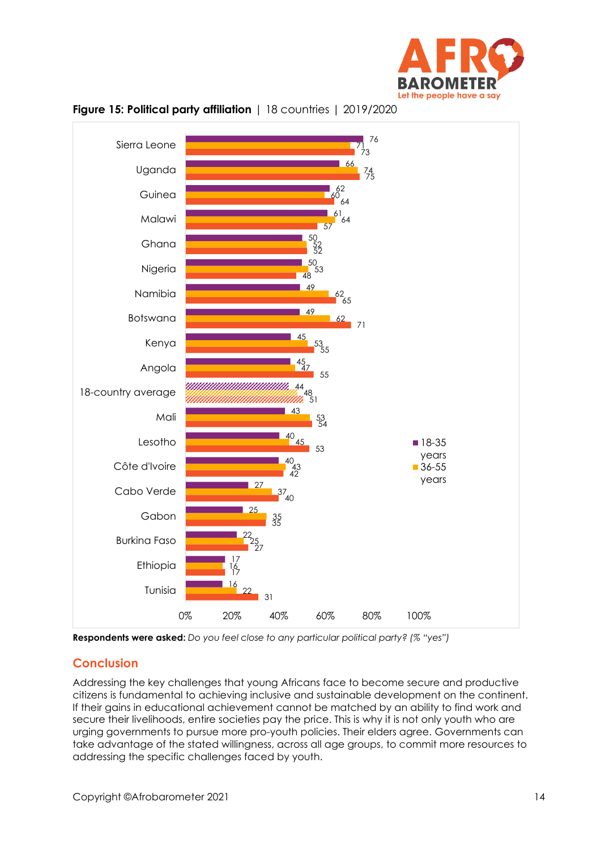





**Respondents were asked:** *Do you feel close to any particular political party? (% "yes")*

# **Conclusion**

Addressing the key challenges that young Africans face to become secure and productive citizens is fundamental to achieving inclusive and sustainable development on the continent. If their gains in educational achievement cannot be matched by an ability to find work and secure their livelihoods, entire societies pay the price. This is why it is not only youth who are urging governments to pursue more pro-youth policies. Their elders agree. Governments can take advantage of the stated willingness, across all age groups, to commit more resources to addressing the specific challenges faced by youth.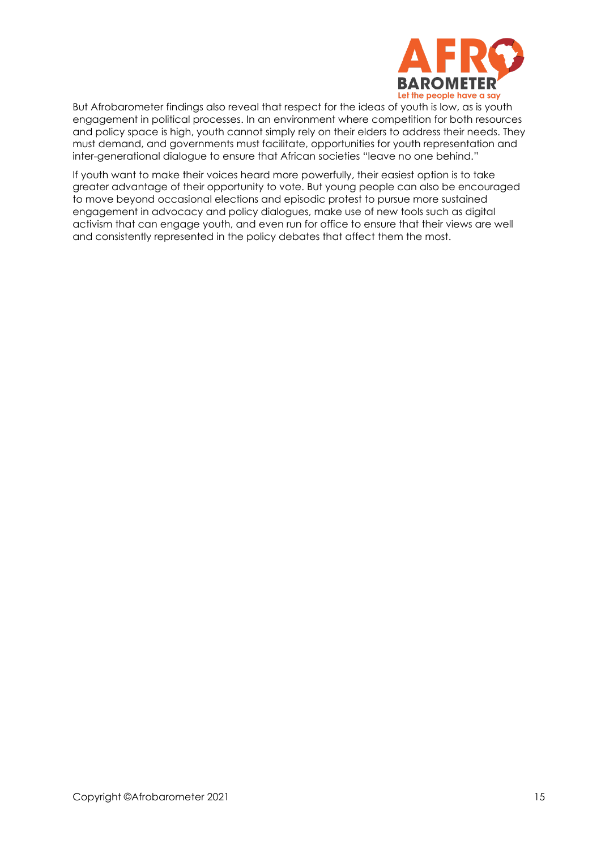

But Afrobarometer findings also reveal that respect for the ideas of youth is low, as is youth engagement in political processes. In an environment where competition for both resources and policy space is high, youth cannot simply rely on their elders to address their needs. They must demand, and governments must facilitate, opportunities for youth representation and inter-generational dialogue to ensure that African societies "leave no one behind."

If youth want to make their voices heard more powerfully, their easiest option is to take greater advantage of their opportunity to vote. But young people can also be encouraged to move beyond occasional elections and episodic protest to pursue more sustained engagement in advocacy and policy dialogues, make use of new tools such as digital activism that can engage youth, and even run for office to ensure that their views are well and consistently represented in the policy debates that affect them the most.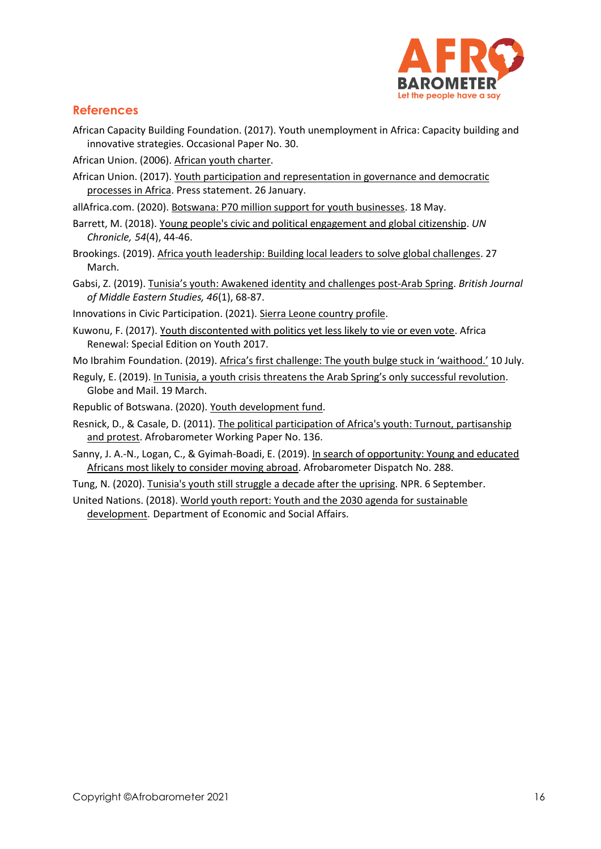

### **References**

- African Capacity Building Foundation. (2017). Youth unemployment in Africa: Capacity building and innovative strategies. Occasional Paper No. 30.
- African Union. (2006)[. African youth charter.](https://au.int/en/treaties/african-youth-charter)
- African Union. (2017)[. Youth participation and representation in governance and democratic](https://au.int/sites/default/files/newsevents/mediaadvisories/31946-ma-cpa-summit_press_conference_statement_-_final_23_jan_2017.pdf)  [processes in Africa.](https://au.int/sites/default/files/newsevents/mediaadvisories/31946-ma-cpa-summit_press_conference_statement_-_final_23_jan_2017.pdf) Press statement. 26 January.
- allAfrica.com. (2020). [Botswana: P70 million support for youth businesses.](https://allafrica.com/stories/202005180852.html) 18 May.
- Barrett, M. (2018). [Young people's civic and political engagement and global citizenship.](https://www.un.org/en/chronicle/article/young-peoples-civic-and-political-engagement-and-global-citizenship) *UN Chronicle, 54*(4), 44-46.
- Brookings. (2019)[. Africa youth leadership: Building local leaders to solve global challenges.](https://www.brookings.edu/blog/africa-in-focus/2019/03/27/africa-youth-leadership-building-local-leaders-to-solve-global-challenges/) 27 March.
- Gabsi, Z. (2019). Tunisia's youth: [Awakened identity and challenges post-Arab Spring.](https://www.tandfonline.com/doi/full/10.1080/13530194.2017.1371000) *British Journal of Middle Eastern Studies, 46*(1), 68-87.
- Innovations in Civic Participation. (2021). [Sierra Leone country profile.](http://www.icicp.org/resource-library/icp-publications/global-youth-service-database/africa-2/west-sub-saharan-africa/sierra-leone/)
- Kuwonu, F. (2017)[. Youth discontented with politics yet less likely to vie or even vote.](https://www.un.org/africarenewal/magazine/special-edition-youth-2017/youth-discontented-politics-yet-less-likely-vie-or-even-vote) Africa Renewal: Special Edition on Youth 2017.
- Mo Ibrahim Foundation. (2019). [Africa's first challenge: The youth bulge stuck in 'waithood.'](https://mo.ibrahim.foundation/news/2019/africas-first-challenge-youth-bulge-stuck-waithood#:~:text=Almost%2060%25%20of%20Africa) 10 July.
- Reguly, E. (2019). [In Tunisia, a youth crisis threatens the Arab Spring's only successful revolution](https://www.theglobeandmail.com/world/article-in-tunisia-a-youth-crisis-threatens-the-arab-springs-only-successful/). Globe and Mail. 19 March.
- Republic of Botswana. (2020). [Youth development fund.](https://www.gov.bw/grants/youth-development-fund)
- Resnick, D., & Casale, D. (2011). [The political participation of Africa's youth: Turnout, partisanship](https://afrobarometer.org/sites/default/files/publications/Working%20paper/AfropaperNo136.pdf)  [and protest.](https://afrobarometer.org/sites/default/files/publications/Working%20paper/AfropaperNo136.pdf) Afrobarometer Working Paper No. 136.
- Sanny, J. A.-N., Logan, C., & Gyimah-Boadi, E. (2019). [In search of opportunity: Young and educated](https://afrobarometer.org/sites/default/files/publications/Dispatches/ab_r7_dispatchno288_looking_for_opportunity_africans_views_on_emigration1.pdf)  [Africans most likely to consider moving abroad.](https://afrobarometer.org/sites/default/files/publications/Dispatches/ab_r7_dispatchno288_looking_for_opportunity_africans_views_on_emigration1.pdf) Afrobarometer Dispatch No. 288.
- Tung, N. (2020). [Tunisia's youth still struggle a decade after the uprising.](https://www.npr.org/sections/pictureshow/2020/09/06/859003829/tunisias-youth-still-struggle-a-decade-after-the-uprising#:~:text=The%20Arab%20Spring%20uprising%20led%20to%20a%20transition,opportunities.%20It%27s%20led%20to%20protests%2C%20including%20self-immolation%20) NPR. 6 September.
- United Nations. (2018)[. World youth report: Youth and the 2030 agenda for sustainable](https://www.un.org/development/desa/youth/world-youth-report/wyr2018.html)  [development.](https://www.un.org/development/desa/youth/world-youth-report/wyr2018.html) Department of Economic and Social Affairs.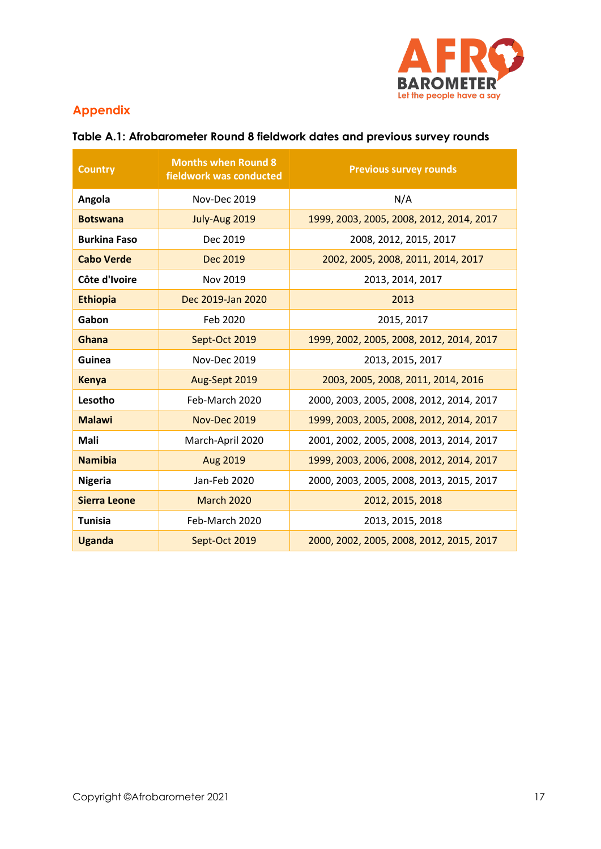

# **Appendix**

| <b>Country</b>      | <b>Months when Round 8</b><br>fieldwork was conducted | <b>Previous survey rounds</b>            |
|---------------------|-------------------------------------------------------|------------------------------------------|
| Angola              | <b>Nov-Dec 2019</b>                                   | N/A                                      |
| <b>Botswana</b>     | July-Aug 2019                                         | 1999, 2003, 2005, 2008, 2012, 2014, 2017 |
| <b>Burkina Faso</b> | Dec 2019                                              | 2008, 2012, 2015, 2017                   |
| <b>Cabo Verde</b>   | Dec 2019                                              | 2002, 2005, 2008, 2011, 2014, 2017       |
| Côte d'Ivoire       | Nov 2019                                              | 2013, 2014, 2017                         |
| <b>Ethiopia</b>     | Dec 2019-Jan 2020                                     | 2013                                     |
| Gabon               | Feb 2020                                              | 2015, 2017                               |
| Ghana               | Sept-Oct 2019                                         | 1999, 2002, 2005, 2008, 2012, 2014, 2017 |
| Guinea              | Nov-Dec 2019                                          | 2013, 2015, 2017                         |
| <b>Kenya</b>        | Aug-Sept 2019                                         | 2003, 2005, 2008, 2011, 2014, 2016       |
| Lesotho             | Feb-March 2020                                        | 2000, 2003, 2005, 2008, 2012, 2014, 2017 |
| <b>Malawi</b>       | Nov-Dec 2019                                          | 1999, 2003, 2005, 2008, 2012, 2014, 2017 |
| Mali                | March-April 2020                                      | 2001, 2002, 2005, 2008, 2013, 2014, 2017 |
| <b>Namibia</b>      | Aug 2019                                              | 1999, 2003, 2006, 2008, 2012, 2014, 2017 |
| <b>Nigeria</b>      | Jan-Feb 2020                                          | 2000, 2003, 2005, 2008, 2013, 2015, 2017 |
| <b>Sierra Leone</b> | <b>March 2020</b>                                     | 2012, 2015, 2018                         |
| <b>Tunisia</b>      | Feb-March 2020                                        | 2013, 2015, 2018                         |
| <b>Uganda</b>       | Sept-Oct 2019                                         | 2000, 2002, 2005, 2008, 2012, 2015, 2017 |

# **Table A.1: Afrobarometer Round 8 fieldwork dates and previous survey rounds**